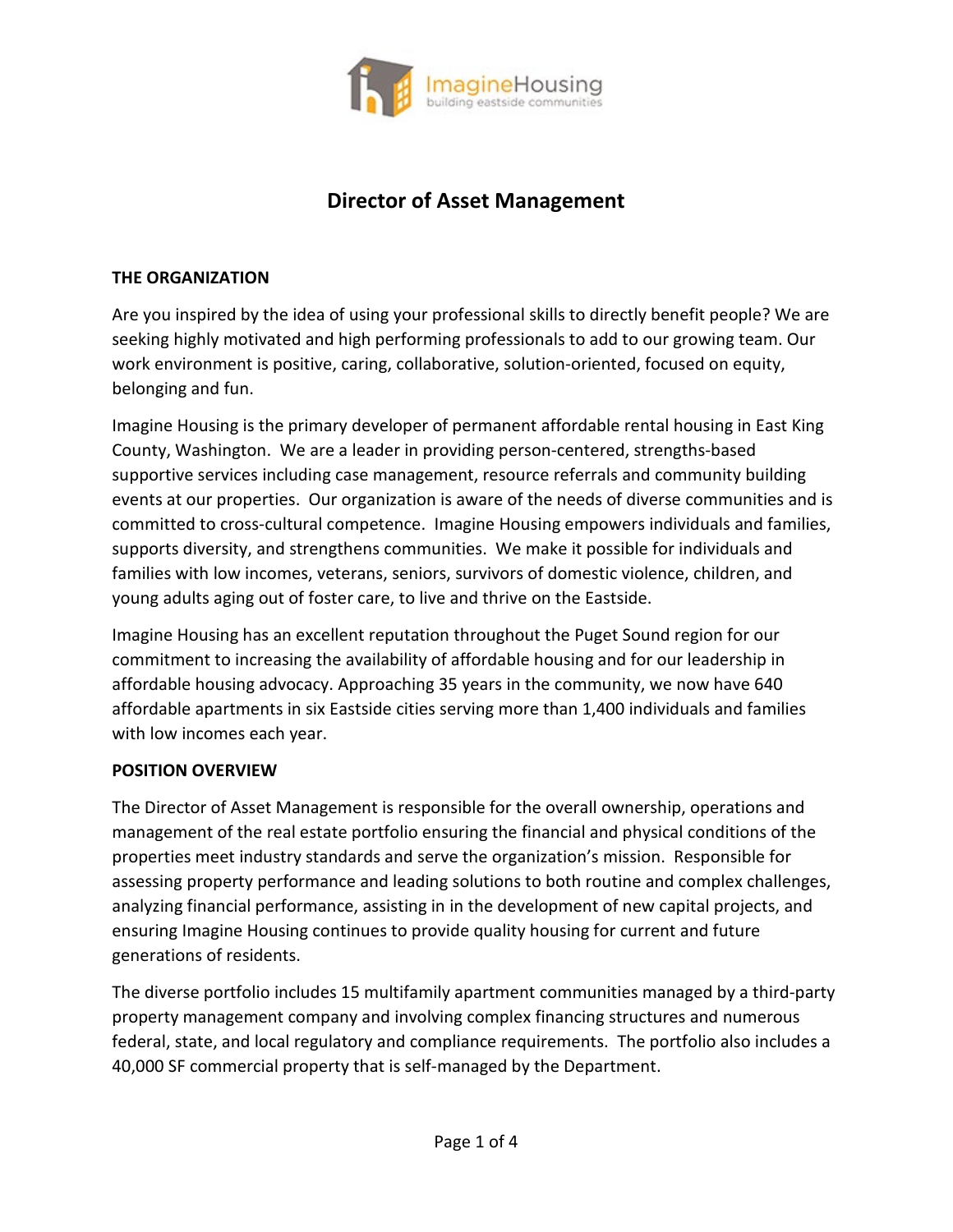

# **Director of Asset Management**

#### **THE ORGANIZATION**

Are you inspired by the idea of using your professional skills to directly benefit people? We are seeking highly motivated and high performing professionals to add to our growing team. Our work environment is positive, caring, collaborative, solution-oriented, focused on equity, belonging and fun.

Imagine Housing is the primary developer of permanent affordable rental housing in East King County, Washington. We are a leader in providing person-centered, strengths-based supportive services including case management, resource referrals and community building events at our properties. Our organization is aware of the needs of diverse communities and is committed to cross-cultural competence. Imagine Housing empowers individuals and families, supports diversity, and strengthens communities. We make it possible for individuals and families with low incomes, veterans, seniors, survivors of domestic violence, children, and young adults aging out of foster care, to live and thrive on the Eastside.

Imagine Housing has an excellent reputation throughout the Puget Sound region for our commitment to increasing the availability of affordable housing and for our leadership in affordable housing advocacy. Approaching 35 years in the community, we now have 640 affordable apartments in six Eastside cities serving more than 1,400 individuals and families with low incomes each year.

#### **POSITION OVERVIEW**

The Director of Asset Management is responsible for the overall ownership, operations and management of the real estate portfolio ensuring the financial and physical conditions of the properties meet industry standards and serve the organization's mission. Responsible for assessing property performance and leading solutions to both routine and complex challenges, analyzing financial performance, assisting in in the development of new capital projects, and ensuring Imagine Housing continues to provide quality housing for current and future generations of residents.

The diverse portfolio includes 15 multifamily apartment communities managed by a third-party property management company and involving complex financing structures and numerous federal, state, and local regulatory and compliance requirements. The portfolio also includes a 40,000 SF commercial property that is self-managed by the Department.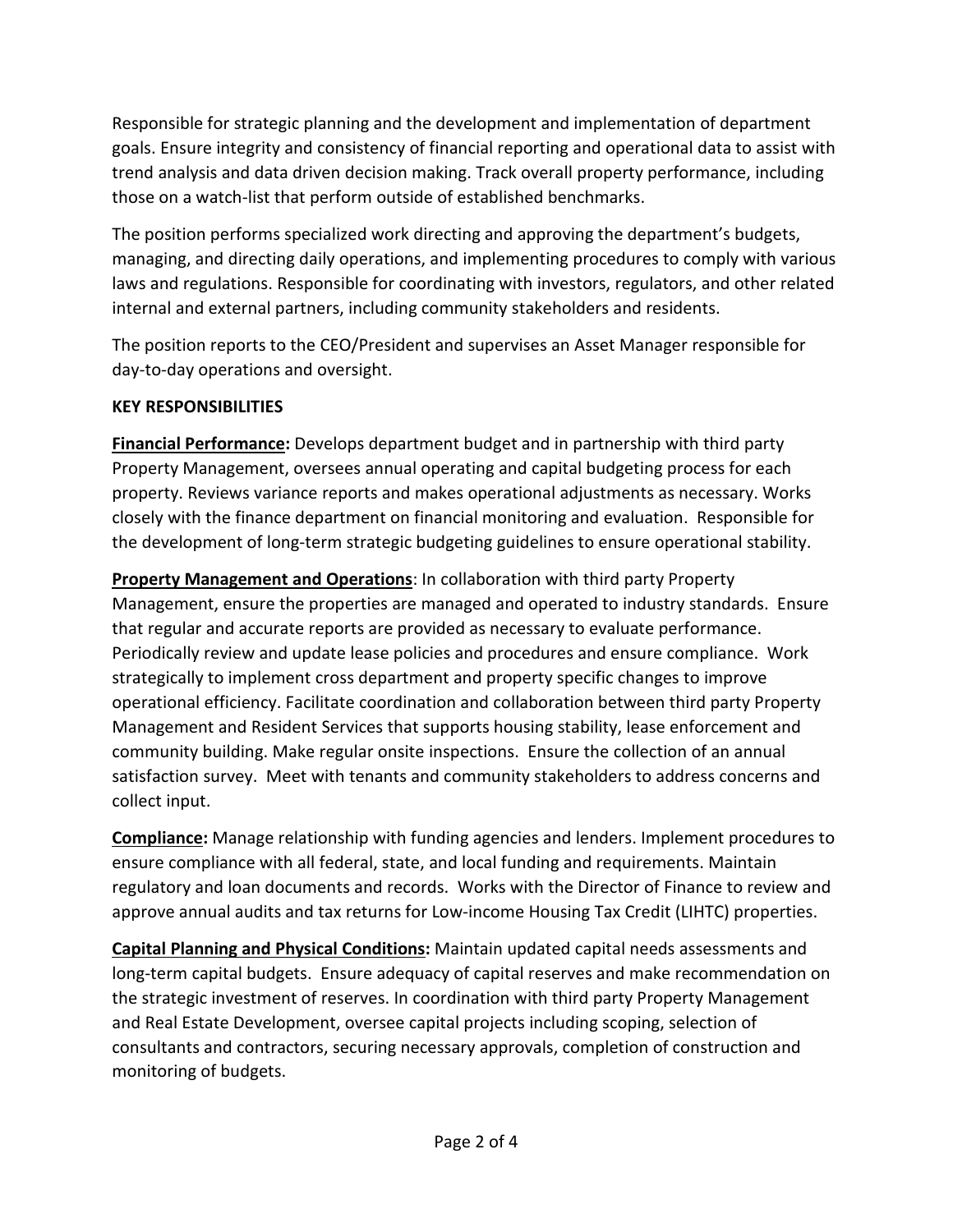Responsible for strategic planning and the development and implementation of department goals. Ensure integrity and consistency of financial reporting and operational data to assist with trend analysis and data driven decision making. Track overall property performance, including those on a watch-list that perform outside of established benchmarks.

The position performs specialized work directing and approving the department's budgets, managing, and directing daily operations, and implementing procedures to comply with various laws and regulations. Responsible for coordinating with investors, regulators, and other related internal and external partners, including community stakeholders and residents.

The position reports to the CEO/President and supervises an Asset Manager responsible for day-to-day operations and oversight.

## **KEY RESPONSIBILITIES**

**Financial Performance:** Develops department budget and in partnership with third party Property Management, oversees annual operating and capital budgeting process for each property. Reviews variance reports and makes operational adjustments as necessary. Works closely with the finance department on financial monitoring and evaluation. Responsible for the development of long-term strategic budgeting guidelines to ensure operational stability.

**Property Management and Operations**: In collaboration with third party Property Management, ensure the properties are managed and operated to industry standards. Ensure that regular and accurate reports are provided as necessary to evaluate performance. Periodically review and update lease policies and procedures and ensure compliance. Work strategically to implement cross department and property specific changes to improve operational efficiency. Facilitate coordination and collaboration between third party Property Management and Resident Services that supports housing stability, lease enforcement and community building. Make regular onsite inspections. Ensure the collection of an annual satisfaction survey. Meet with tenants and community stakeholders to address concerns and collect input.

**Compliance:** Manage relationship with funding agencies and lenders. Implement procedures to ensure compliance with all federal, state, and local funding and requirements. Maintain regulatory and loan documents and records. Works with the Director of Finance to review and approve annual audits and tax returns for Low-income Housing Tax Credit (LIHTC) properties.

**Capital Planning and Physical Conditions:** Maintain updated capital needs assessments and long-term capital budgets. Ensure adequacy of capital reserves and make recommendation on the strategic investment of reserves. In coordination with third party Property Management and Real Estate Development, oversee capital projects including scoping, selection of consultants and contractors, securing necessary approvals, completion of construction and monitoring of budgets.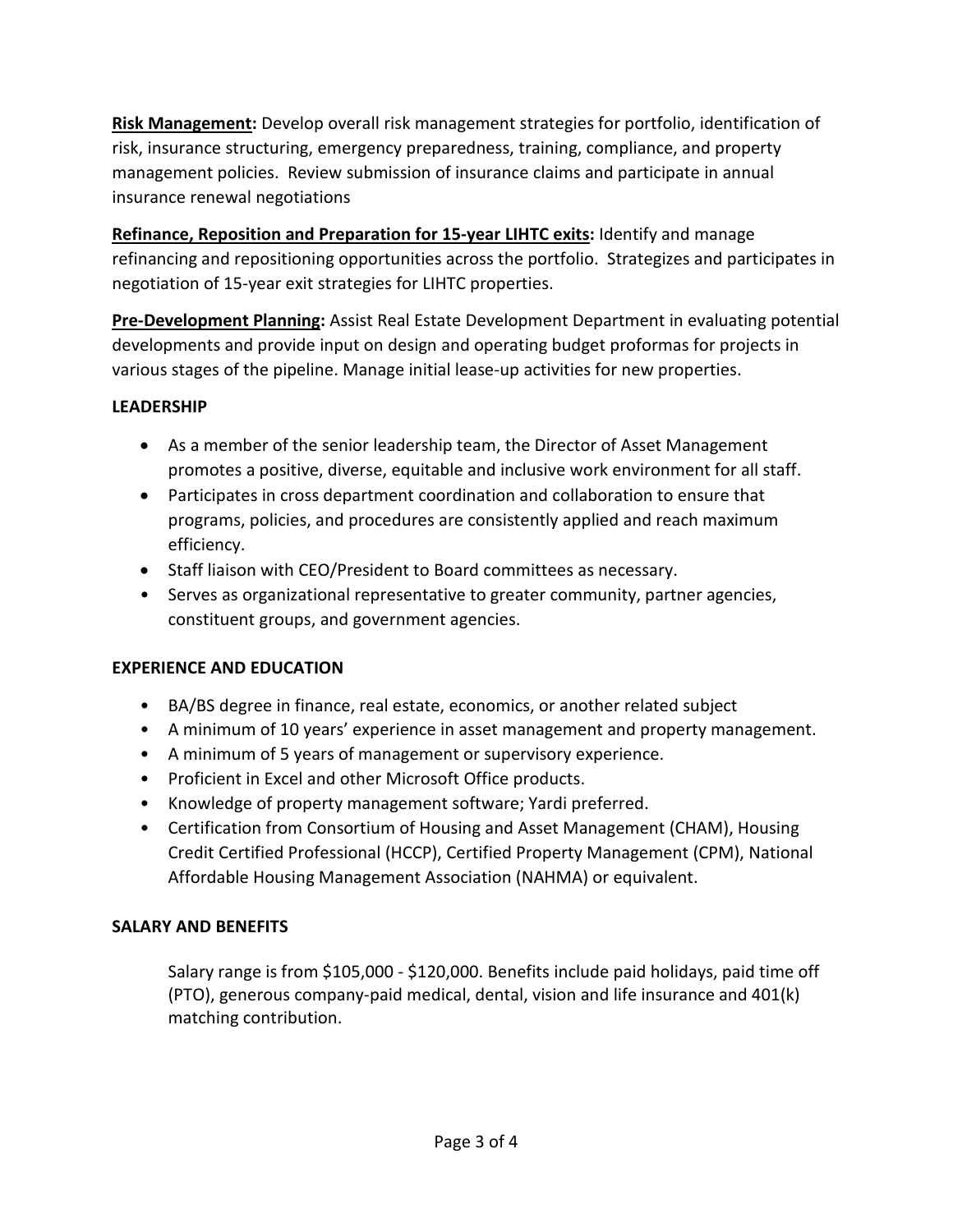**Risk Management:** Develop overall risk management strategies for portfolio, identification of risk, insurance structuring, emergency preparedness, training, compliance, and property management policies. Review submission of insurance claims and participate in annual insurance renewal negotiations

**Refinance, Reposition and Preparation for 15-year LIHTC exits:** Identify and manage refinancing and repositioning opportunities across the portfolio. Strategizes and participates in negotiation of 15-year exit strategies for LIHTC properties.

**Pre-Development Planning:** Assist Real Estate Development Department in evaluating potential developments and provide input on design and operating budget proformas for projects in various stages of the pipeline. Manage initial lease-up activities for new properties.

## **LEADERSHIP**

- As a member of the senior leadership team, the Director of Asset Management promotes a positive, diverse, equitable and inclusive work environment for all staff.
- Participates in cross department coordination and collaboration to ensure that programs, policies, and procedures are consistently applied and reach maximum efficiency.
- Staff liaison with CEO/President to Board committees as necessary.
- Serves as organizational representative to greater community, partner agencies, constituent groups, and government agencies.

## **EXPERIENCE AND EDUCATION**

- BA/BS degree in finance, real estate, economics, or another related subject
- A minimum of 10 years' experience in asset management and property management.
- A minimum of 5 years of management or supervisory experience.
- Proficient in Excel and other Microsoft Office products.
- Knowledge of property management software; Yardi preferred.
- Certification from Consortium of Housing and Asset Management (CHAM), Housing Credit Certified Professional (HCCP), Certified Property Management (CPM), National Affordable Housing Management Association (NAHMA) or equivalent.

## **SALARY AND BENEFITS**

Salary range is from \$105,000 - \$120,000. Benefits include paid holidays, paid time off (PTO), generous company-paid medical, dental, vision and life insurance and 401(k) matching contribution.